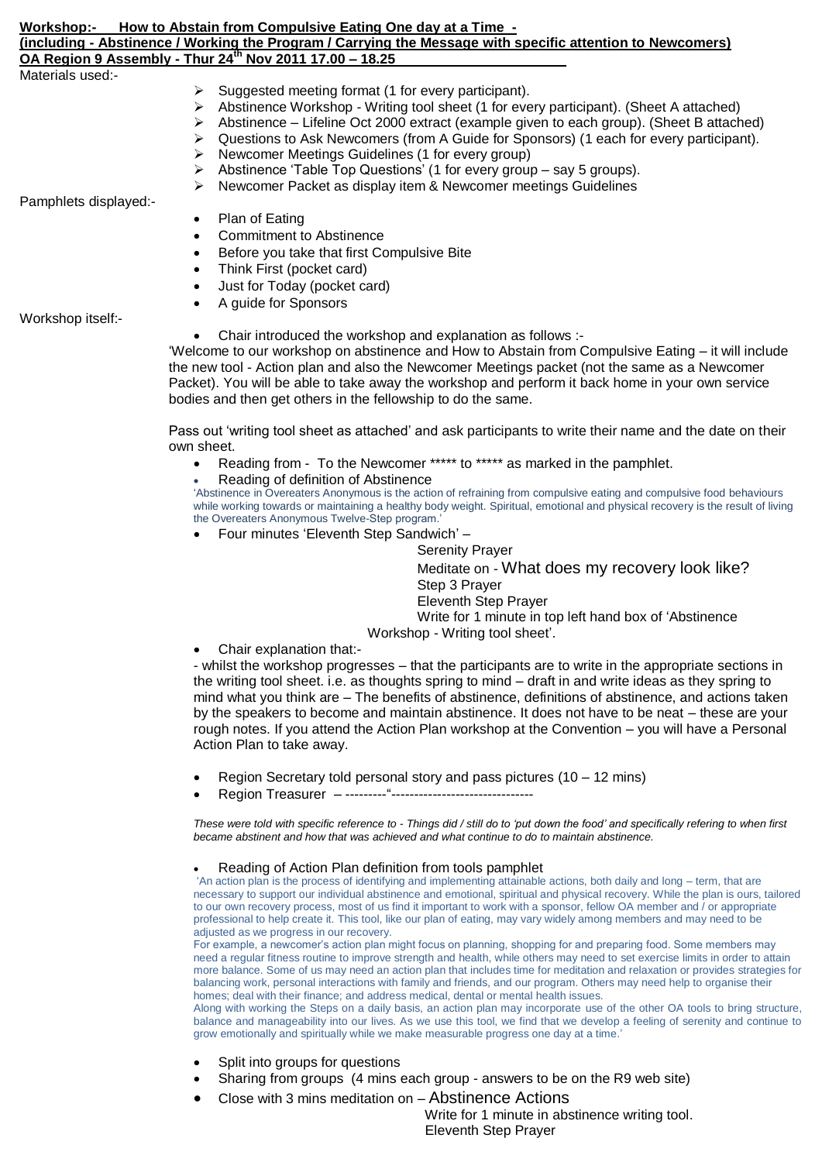| How to Abstain from Compulsive Eating One day at a Time -<br>Workshop:-<br>(including - Abstinence / Working the Program / Carrying the Message with specific attention to Newcomers)<br>OA Region 9 Assembly - Thur 24 <sup>th</sup> Nov 2011 17.00 - 18.25 |                                                                                               |  |                  |                                                     |
|--------------------------------------------------------------------------------------------------------------------------------------------------------------------------------------------------------------------------------------------------------------|-----------------------------------------------------------------------------------------------|--|------------------|-----------------------------------------------------|
|                                                                                                                                                                                                                                                              |                                                                                               |  | Materials used:- |                                                     |
|                                                                                                                                                                                                                                                              |                                                                                               |  |                  | Suggested meeting format (1 for every participant). |
|                                                                                                                                                                                                                                                              | Abstinence Workshop - Writing tool sheet (1 for every participant). (Sheet A attached)        |  |                  |                                                     |
|                                                                                                                                                                                                                                                              | Abstinence – Lifeline Oct 2000 extract (example given to each group). (Sheet B attached)<br>➤ |  |                  |                                                     |
|                                                                                                                                                                                                                                                              | Questions to Ask Newcomers (from A Guide for Sponsors) (1 each for every participant).<br>➤   |  |                  |                                                     |
|                                                                                                                                                                                                                                                              | Newcomer Meetings Guidelines (1 for every group)<br>➤                                         |  |                  |                                                     |
|                                                                                                                                                                                                                                                              | Abstinence 'Table Top Questions' (1 for every group – say 5 groups).<br>➤                     |  |                  |                                                     |
|                                                                                                                                                                                                                                                              | Newcomer Packet as display item & Newcomer meetings Guidelines<br>➤                           |  |                  |                                                     |
| Pamphlets displayed:-                                                                                                                                                                                                                                        |                                                                                               |  |                  |                                                     |
|                                                                                                                                                                                                                                                              | Plan of Eating                                                                                |  |                  |                                                     |
|                                                                                                                                                                                                                                                              | <b>Commitment to Abstinence</b>                                                               |  |                  |                                                     |
|                                                                                                                                                                                                                                                              | Before you take that first Compulsive Bite<br>$\bullet$                                       |  |                  |                                                     |
|                                                                                                                                                                                                                                                              | Think First (noglest cord)                                                                    |  |                  |                                                     |

- Think First (pocket card)
- Just for Today (pocket card) A guide for Sponsors

Workshop itself:-

Chair introduced the workshop and explanation as follows :-

'Welcome to our workshop on abstinence and How to Abstain from Compulsive Eating – it will include the new tool - Action plan and also the Newcomer Meetings packet (not the same as a Newcomer Packet). You will be able to take away the workshop and perform it back home in your own service bodies and then get others in the fellowship to do the same.

Pass out 'writing tool sheet as attached' and ask participants to write their name and the date on their own sheet.

- Reading from To the Newcomer \*\*\*\*\* to \*\*\*\*\* as marked in the pamphlet.
- Reading of definition of Abstinence

'Abstinence in Overeaters Anonymous is the action of refraining from compulsive eating and compulsive food behaviours while working towards or maintaining a healthy body weight. Spiritual, emotional and physical recovery is the result of living the Overeaters Anonymous Twelve-Step program.'

Four minutes 'Eleventh Step Sandwich' –

Serenity Prayer Meditate on - What does my recovery look like? Step 3 Prayer Eleventh Step Prayer Write for 1 minute in top left hand box of 'Abstinence Workshop - Writing tool sheet'.

Chair explanation that:-

- whilst the workshop progresses – that the participants are to write in the appropriate sections in the writing tool sheet. i.e. as thoughts spring to mind – draft in and write ideas as they spring to mind what you think are – The benefits of abstinence, definitions of abstinence, and actions taken by the speakers to become and maintain abstinence. It does not have to be neat – these are your rough notes. If you attend the Action Plan workshop at the Convention – you will have a Personal Action Plan to take away.

- Region Secretary told personal story and pass pictures (10 12 mins)
- Region Treasurer ---------"-------------------------------

*These were told with specific reference to - Things did / still do to 'put down the food' and specifically refering to when first became abstinent and how that was achieved and what continue to do to maintain abstinence.* 

## Reading of Action Plan definition from tools pamphlet

'An action plan is the process of identifying and implementing attainable actions, both daily and long – term, that are necessary to support our individual abstinence and emotional, spiritual and physical recovery. While the plan is ours, tailored to our own recovery process, most of us find it important to work with a sponsor, fellow OA member and / or appropriate professional to help create it. This tool, like our plan of eating, may vary widely among members and may need to be adjusted as we progress in our recovery.

For example, a newcomer's action plan might focus on planning, shopping for and preparing food. Some members may need a regular fitness routine to improve strength and health, while others may need to set exercise limits in order to attain more balance. Some of us may need an action plan that includes time for meditation and relaxation or provides strategies for balancing work, personal interactions with family and friends, and our program. Others may need help to organise their homes; deal with their finance; and address medical, dental or mental health issues.

Along with working the Steps on a daily basis, an action plan may incorporate use of the other OA tools to bring structure, balance and manageability into our lives. As we use this tool, we find that we develop a feeling of serenity and continue to grow emotionally and spiritually while we make measurable progress one day at a time.'

- Split into groups for questions
- Sharing from groups (4 mins each group answers to be on the R9 web site)
- Close with 3 mins meditation on Abstinence Actions

 Write for 1 minute in abstinence writing tool. Eleventh Step Prayer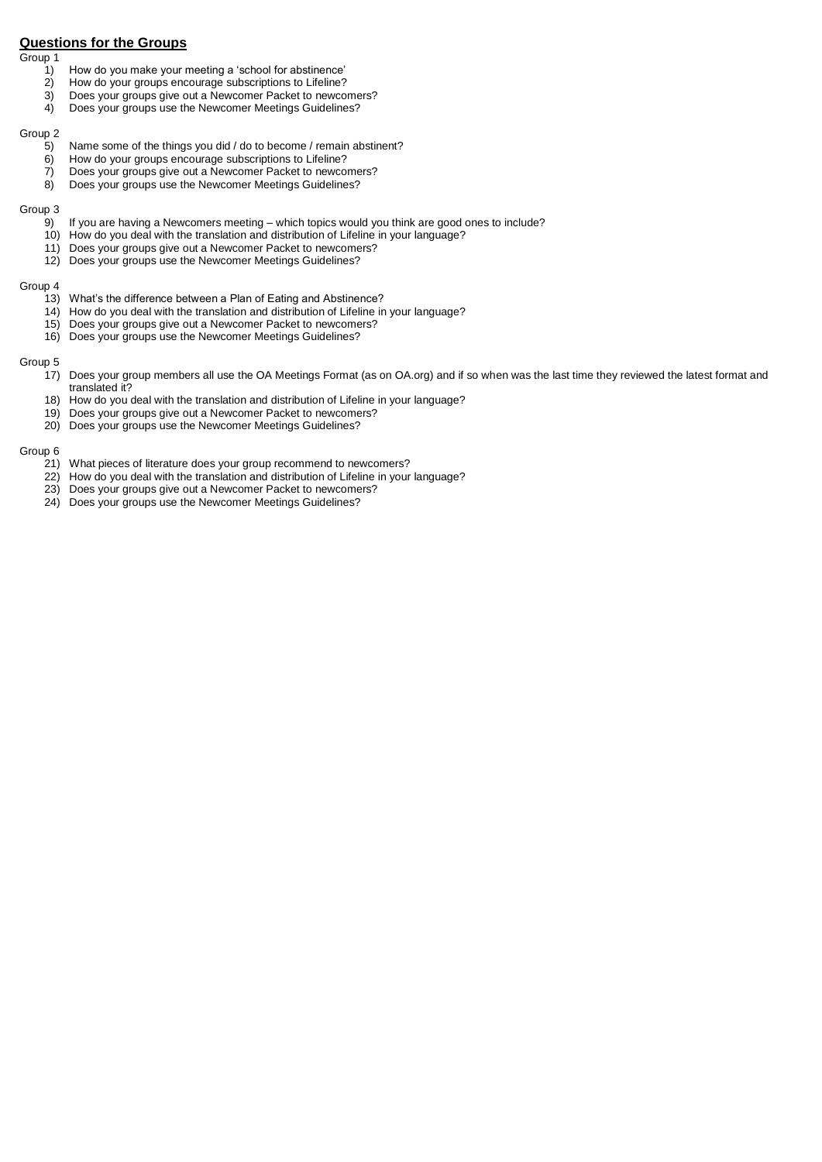# **Questions for the Groups**

Group 1

- 1) How do you make your meeting a 'school for abstinence'
- 
- 2) How do your groups encourage subscriptions to Lifeline?<br>3) Does your groups give out a Newcomer Packet to newco 3) Does your groups give out a Newcomer Packet to newcomers?<br>4) Does your groups use the Newcomer Meetings Guidelines?
- Does your groups use the Newcomer Meetings Guidelines?

### Group 2

- 5) Name some of the things you did / do to become / remain abstinent?<br>6) How do your groups encourage subscriptions to Lifeline?
- How do your groups encourage subscriptions to Lifeline?
- 7) Does your groups give out a Newcomer Packet to newcomers?
- 8) Does your groups use the Newcomer Meetings Guidelines?

### Group 3

- 9) If you are having a Newcomers meeting which topics would you think are good ones to include?
- 10) How do you deal with the translation and distribution of Lifeline in your language?
- 11) Does your groups give out a Newcomer Packet to newcomers?
- 12) Does your groups use the Newcomer Meetings Guidelines?

#### Group 4

- 13) What's the difference between a Plan of Eating and Abstinence?
- 14) How do you deal with the translation and distribution of Lifeline in your language?
- 15) Does your groups give out a Newcomer Packet to newcomers?
- 16) Does your groups use the Newcomer Meetings Guidelines?

## Group 5

- 17) Does your group members all use the OA Meetings Format (as on OA.org) and if so when was the last time they reviewed the latest format and translated it?
- 18) How do you deal with the translation and distribution of Lifeline in your language?
- 19) Does your groups give out a Newcomer Packet to newcomers?
- 20) Does your groups use the Newcomer Meetings Guidelines?

## Group 6

- 21) What pieces of literature does your group recommend to newcomers?
- 22) How do you deal with the translation and distribution of Lifeline in your language?
- 23) Does your groups give out a Newcomer Packet to newcomers?
- 24) Does your groups use the Newcomer Meetings Guidelines?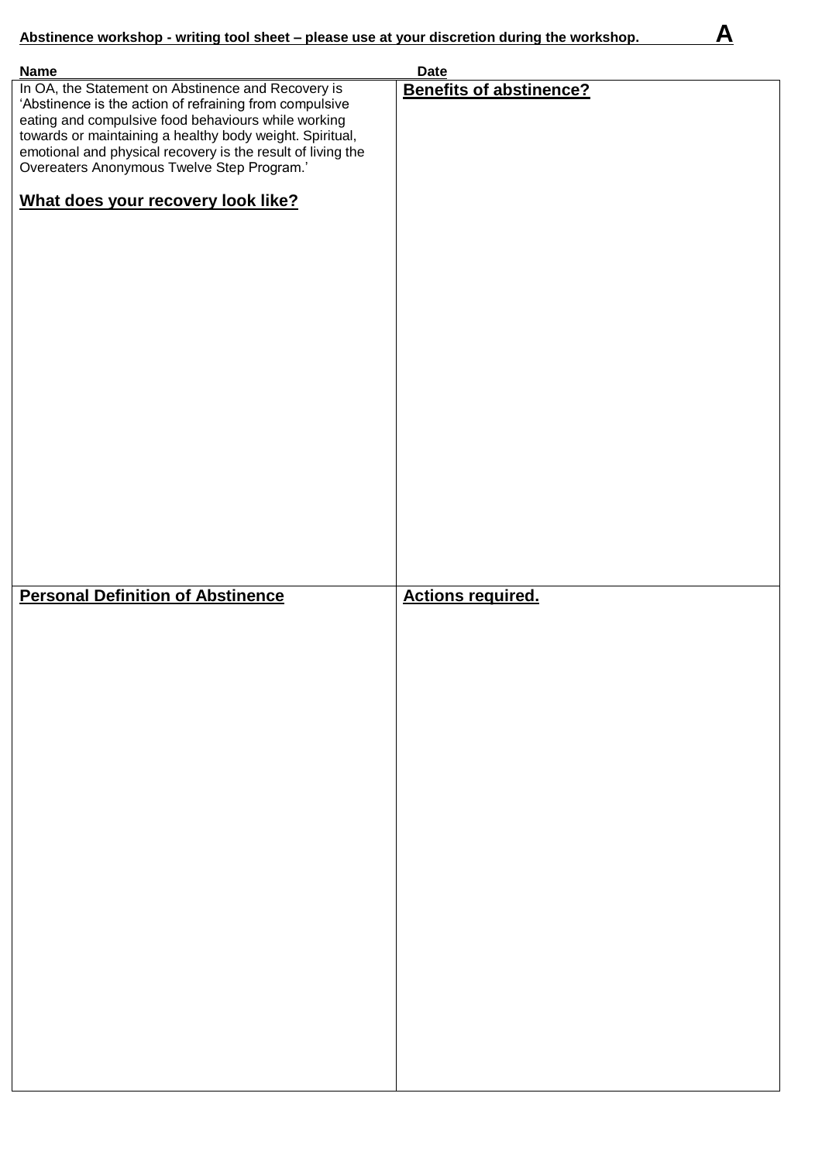| <b>Name</b>                                                                                                                                                                                                                                                                                                                                   | <b>Date</b>                    |
|-----------------------------------------------------------------------------------------------------------------------------------------------------------------------------------------------------------------------------------------------------------------------------------------------------------------------------------------------|--------------------------------|
| In OA, the Statement on Abstinence and Recovery is<br>'Abstinence is the action of refraining from compulsive<br>eating and compulsive food behaviours while working<br>towards or maintaining a healthy body weight. Spiritual,<br>emotional and physical recovery is the result of living the<br>Overeaters Anonymous Twelve Step Program.' | <b>Benefits of abstinence?</b> |
| What does your recovery look like?                                                                                                                                                                                                                                                                                                            |                                |
|                                                                                                                                                                                                                                                                                                                                               |                                |
|                                                                                                                                                                                                                                                                                                                                               |                                |
|                                                                                                                                                                                                                                                                                                                                               |                                |
|                                                                                                                                                                                                                                                                                                                                               |                                |
|                                                                                                                                                                                                                                                                                                                                               |                                |
| <b>Personal Definition of Abstinence</b>                                                                                                                                                                                                                                                                                                      | <b>Actions required.</b>       |
|                                                                                                                                                                                                                                                                                                                                               |                                |
|                                                                                                                                                                                                                                                                                                                                               |                                |